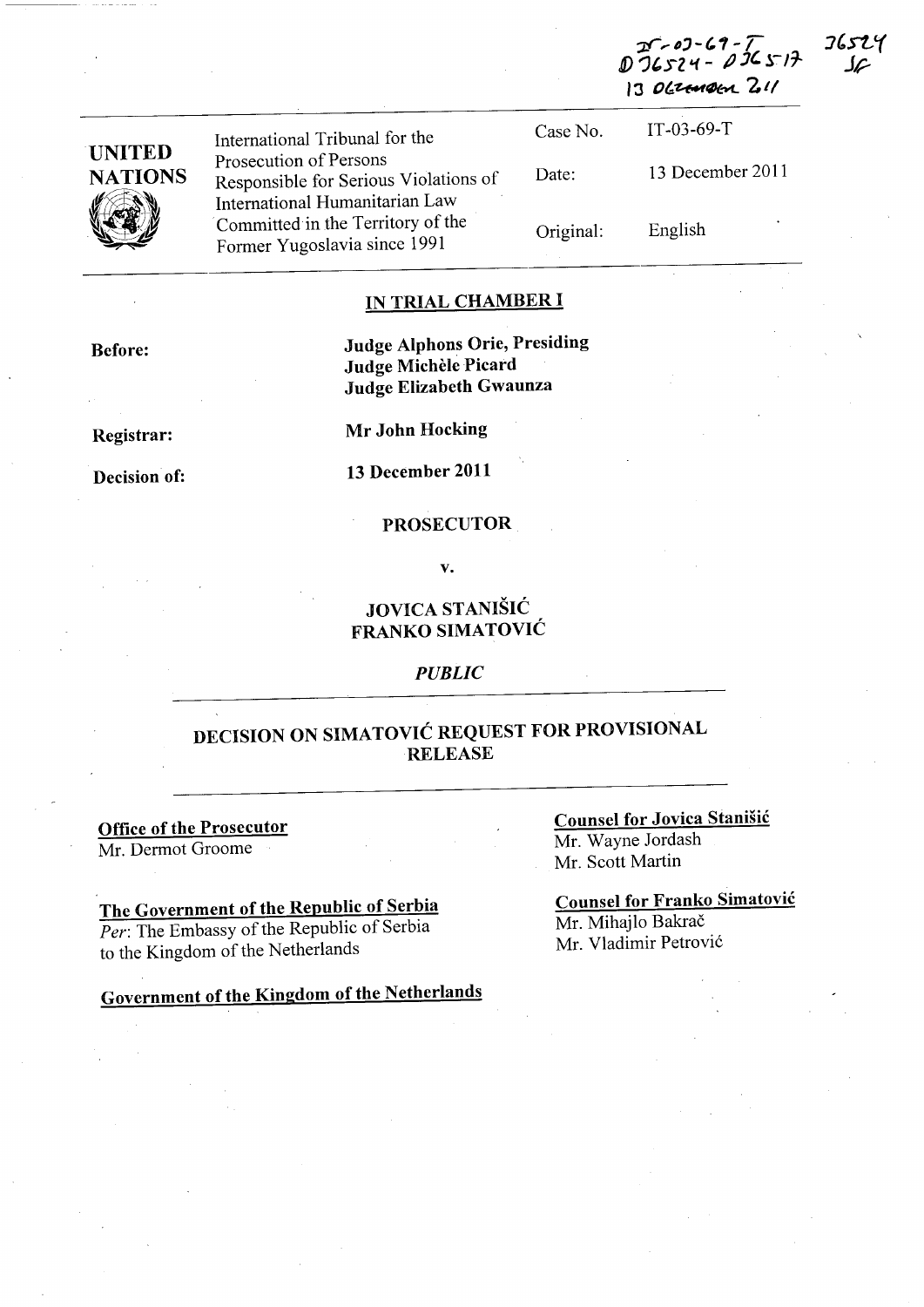**I6524 ;Jf',.f)'-(,1-T J)** *')'Sl* **'1 -** */J J' S"17-*  $130$  crangen 2.11

|                          | International Tribunal for the                                                                      | Case No.  | $IT-03-69-T$     |
|--------------------------|-----------------------------------------------------------------------------------------------------|-----------|------------------|
| UNITED<br><b>NATIONS</b> | Prosecution of Persons<br>Responsible for Serious Violations of                                     | Date:     | 13 December 2011 |
| <b>VAR</b>               | International Humanitarian Law<br>Committed in the Territory of the<br>Former Yugoslavia since 1991 | Original: | English          |

#### **IN TRIAL CHAMBER I**

**Judge Alphons Orie, Presiding Judge Michèle Picard Judge Elizabeth Gwaunza** 

**Registrar:** 

**Decision of:** 

**13 December 2011** 

v.

#### **JOVICA STANISIC FRANKO SIMATOVIC**

#### *PUBLIC*

#### **DECISION ON SIMATOVIC REQUEST FOR PROVISIONAL RELEASE**

**Office of the Prosecutor**  Mr. Dermot Groome

**The Government of the Republic of Serbia**  *Per:* The Embassy of the Republic of Serbia to the Kingdom of the Netherlands

**Government of the Kingdom of the Netherlands** 

**Counsel for Jovica Stanisic**  Mr. Wayne Jordash

Mr. Scott Martin

**Counsel for Franko Simatovic**  Mr. Mihajlo Bakrač Mr. Vladimir Petrović

# **Mr John Hocking**

### **PROSECUTOR**

# **Before:**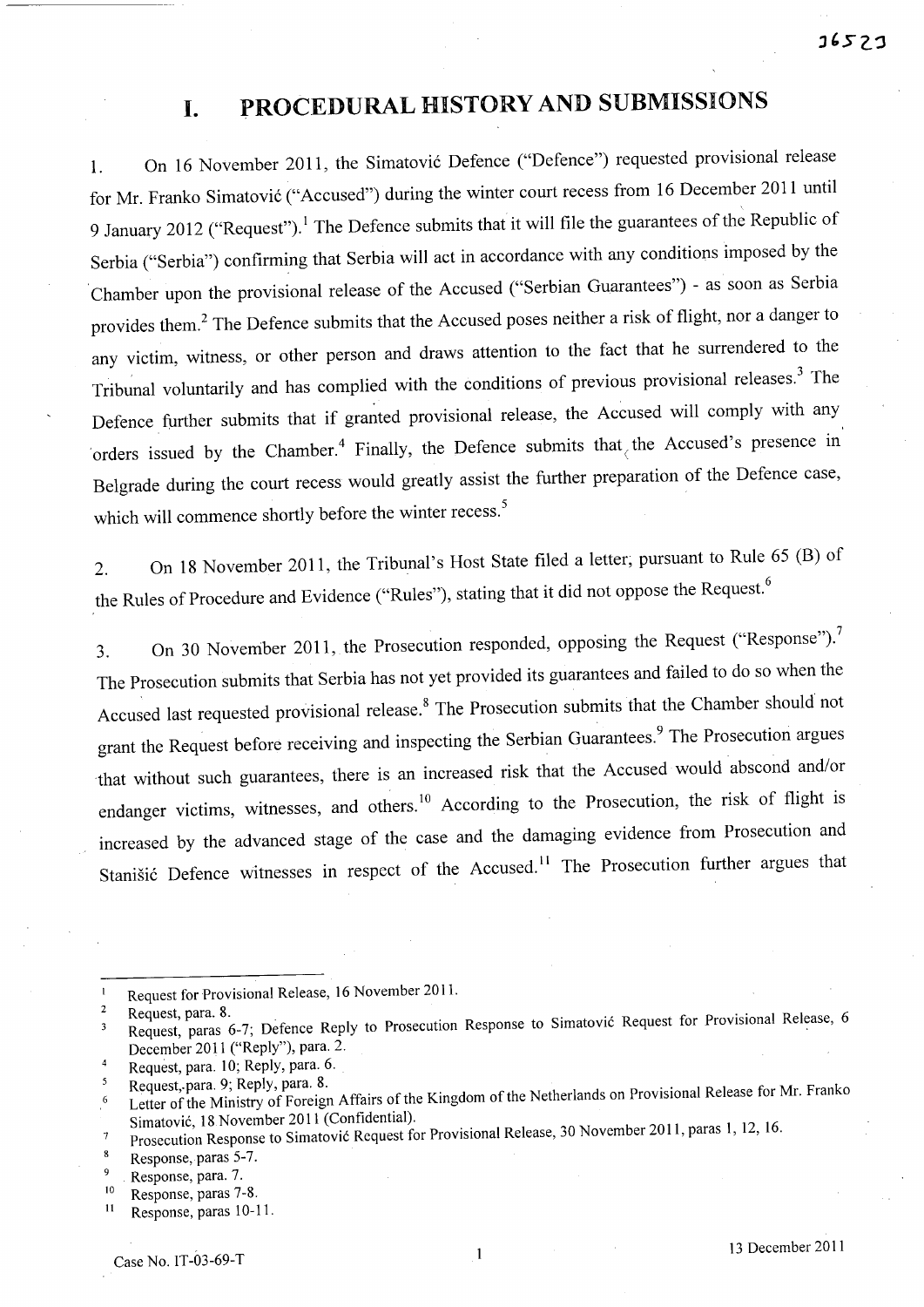# **I. PROCEDURAL HISTORY AND SUBMISSIONS**

1. On 16 November 2011, the Simatović Defence ("Defence") requested provisional release for Mr. Franko Simatović ("Accused") during the winter court recess from 16 December 2011 until 9 January 2012 ("Request").<sup>1</sup> The Defence submits that it will file the guarantees of the Republic of Serbia ("Serbia") confirming that Serbia will act in accordance with any conditions imposed by the Chamber upon the provisional release of the Accused ("Serbian Guarantees") - as soon as Serbia provides them.<sup>2</sup> The Defence submits that the Accused poses neither a risk of flight, nor a danger to any victim, witness, or other person and draws attention to the fact that he surrendered to the Tribunal voluntarily and has complied with the conditions of previous provisional releases.<sup>3</sup> The Defence further submits that if granted provisional release, the Accused will comply with any 'orders issued by the Chamber.<sup>4</sup> Finally, the Defence submits that the Accused's presence in Belgrade during the court recess would greatly assist the further preparation of the Defence case, which will commence shortly before the winter recess.<sup>5</sup>

2. On <sup>18</sup>November 2011, the Tribunal's Host State filed a letter; pursuant to Rule 65 (B) of the Rules of Procedure and Evidence ("Rules"), stating that it did not oppose the Request.<sup>6</sup>

3. On 30 November 2011, the Prosecution responded, opposing the Request ("Response").<sup>7</sup> The Prosecution submits that Serbia has not yet provided its guarantees and failed to do so when the Accused last requested provisional release.<sup>8</sup> The Prosecution submits that the Chamber should not grant the Request before receiving and inspecting the Serbian Guarantees.<sup>9</sup> The Prosecution argues that without such guarantees, there is an increased risk that the Accused would abscond and/or endanger victims, witnesses, and others.<sup>10</sup> According to the Prosecution, the risk of flight is increased by the advanced stage of the case and the damaging evidence from Prosecution and Stanišić Defence witnesses in respect of the Accused.<sup>11</sup> The Prosecution further argues that

Request for Provisional Release, 16 November 2011.  $\mathbf{1}$ 

<sup>&</sup>lt;sup>2</sup> Request, para. 8.<br><sup>3</sup> Request, paras 6-7; Defence Reply to Prosecution Response to Simatović Request for Provisional Release, 6  $\overline{\mathbf{3}}$ December 2011 ("Reply"), para. 2.

Request, para. 10; Reply, para. 6.<br>Request, para. 9; Reply, para. 8.  $\overline{4}$ 

Request, para. 9; Reply, para. 8.<br>Letter of the Ministry of Foreign Affairs of the Kingdom of the Netherlands on Provisional Release for Mr. Franko Simatovic, 18 November 2011 (Confidential).

Prosecution Response to Simatovic Request for Provisional Release, 30 November 2011, paras 1, 12, 16.  $\overline{7}$ 

 $\mathbf{g}$ Response, paras 5-7.

 $\mathbf{Q}$ Response, para. 7.

 $\frac{10}{11}$  Response, paras 7-8. Response, paras 10-11.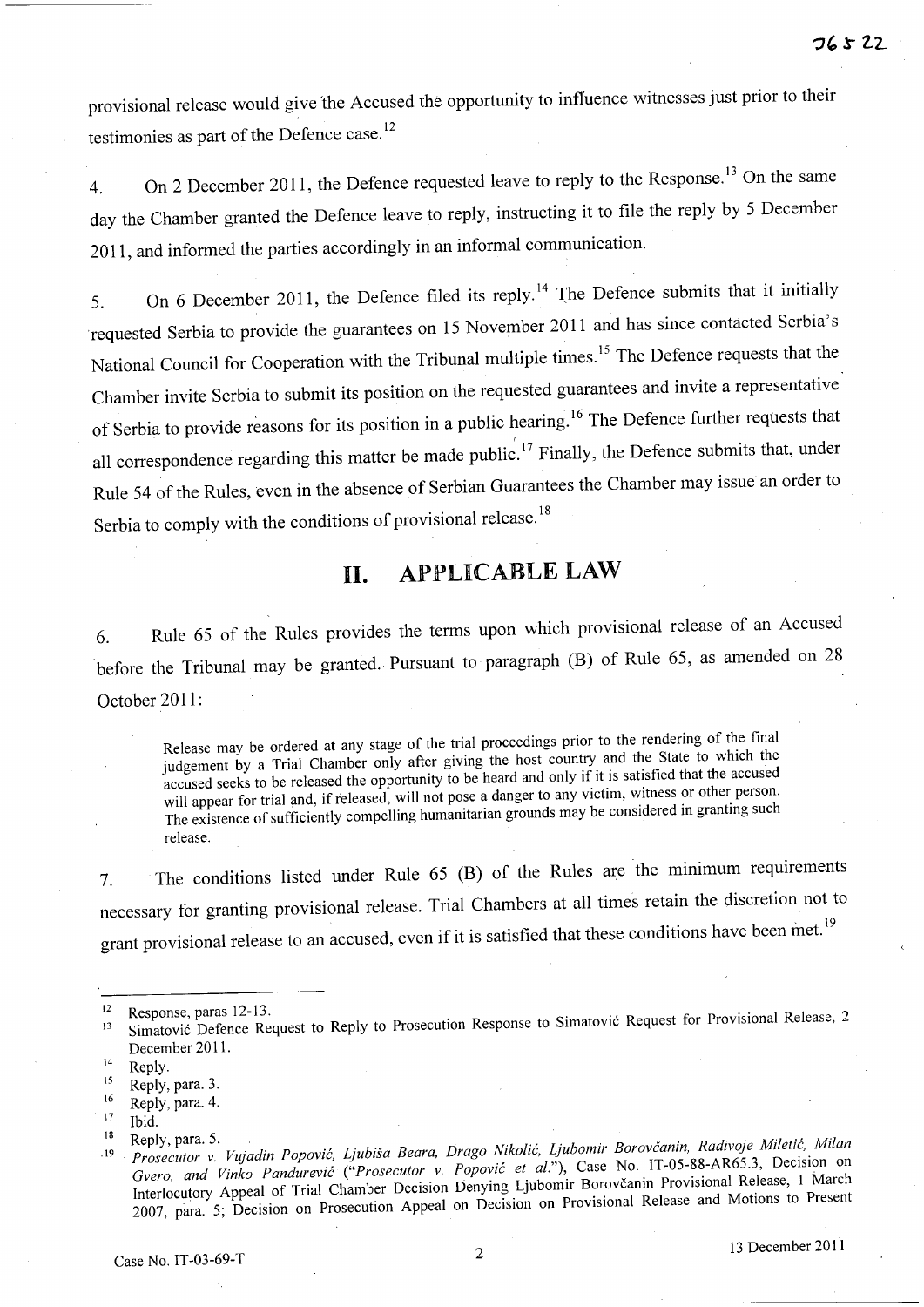provisional release would give the Accused the opportunity to influence witnesses just prior to their testimonies as part of the Defence case.<sup>12</sup>

4. On 2 December 2011, the Defence requested leave to reply to the Response.<sup>13</sup> On the same day the Chamber granted the Defence leave to reply, instructing it to file the reply by 5 December **2011,** and informed the parties accordingly in an informal communication.

5. On 6 December 2011, the Defence filed its reply.<sup>14</sup> The Defence submits that it initially requested Serbia to provide the guarantees on 15 November 2011 and has since contacted Serbia's National Council for Cooperation with the Tribunal multiple times.<sup>15</sup> The Defence requests that the Chamber invite Serbia to submit its position on the requested guarantees and invite a representative of Serbia to provide reasons for its position in a public hearing.<sup>16</sup> The Defence further requests that all correspondence regarding this matter be made public.<sup>17</sup> Finally, the Defence submits that, under Rule 54 of the Rules, even in the absence of Serbian Guarantees the Chamber may issue an order to Serbia to comply with the conditions of provisional release.<sup>18</sup>

# **11. APPLICABLE LAW**

6. Rule 65 of the Rules provides the terms upon which provisional release of an Accused before the Tribunal may be granted. Pursuant to paragraph (B) of Rule 65, as amended on 28 October **2011 :** 

Release may be ordered at any stage of the trial proceedings prior to the rendering of the final judgement by a Trial Chamber only after giving the host country and the State to which the accused seeks to be released the opportunity to be heard and only if it is satisfied that the accused will appear for trial and, if released, will not pose a danger to any victim, witness or other person. The existence of sufficiently compelling humanitarian grounds may be considered in granting such release.

7. The conditions listed under Rule 65 (B) of the Rules are the minimum requirements necessary for granting provisional release. Trial Chambers at all times retain the discretion not to grant provisional release to an accused, even if it is satisfied that these conditions have been met.<sup>19</sup>

Ibid.

<sup>&</sup>lt;sup>12</sup> Response, paras 12-13.<br><sup>13</sup> Simatović Defence Request to Reply to Prosecution Response to Simatović Request for Provisional Release, 2 December 2011.

 $14$  Reply.

 $15$  Reply, para. 3.  $\frac{16}{17}$  Reply, para. 4.

<sup>&</sup>lt;sup>18</sup> Reply, para. 5.<br><sup>19</sup> *Prosecutor v. Vujadin Popović, Ljubiša Beara, Drago Nikolić, Ljubomir Borovčanin, Radivoje Miletić, Milan Gvero, and Vinko Pandurevic ("Prosecutor* v. *Popovic et al."),* Case No. IT-05-88-AR65.3, Decision on Interlocutory Appeal of Trial Chamber Decision Denying Ljubomir Borovcanin Provisional Release, 1 March 2007, para. 5; Decision on Prosecution Appeal on Decision on Provisional Release and Motions to Present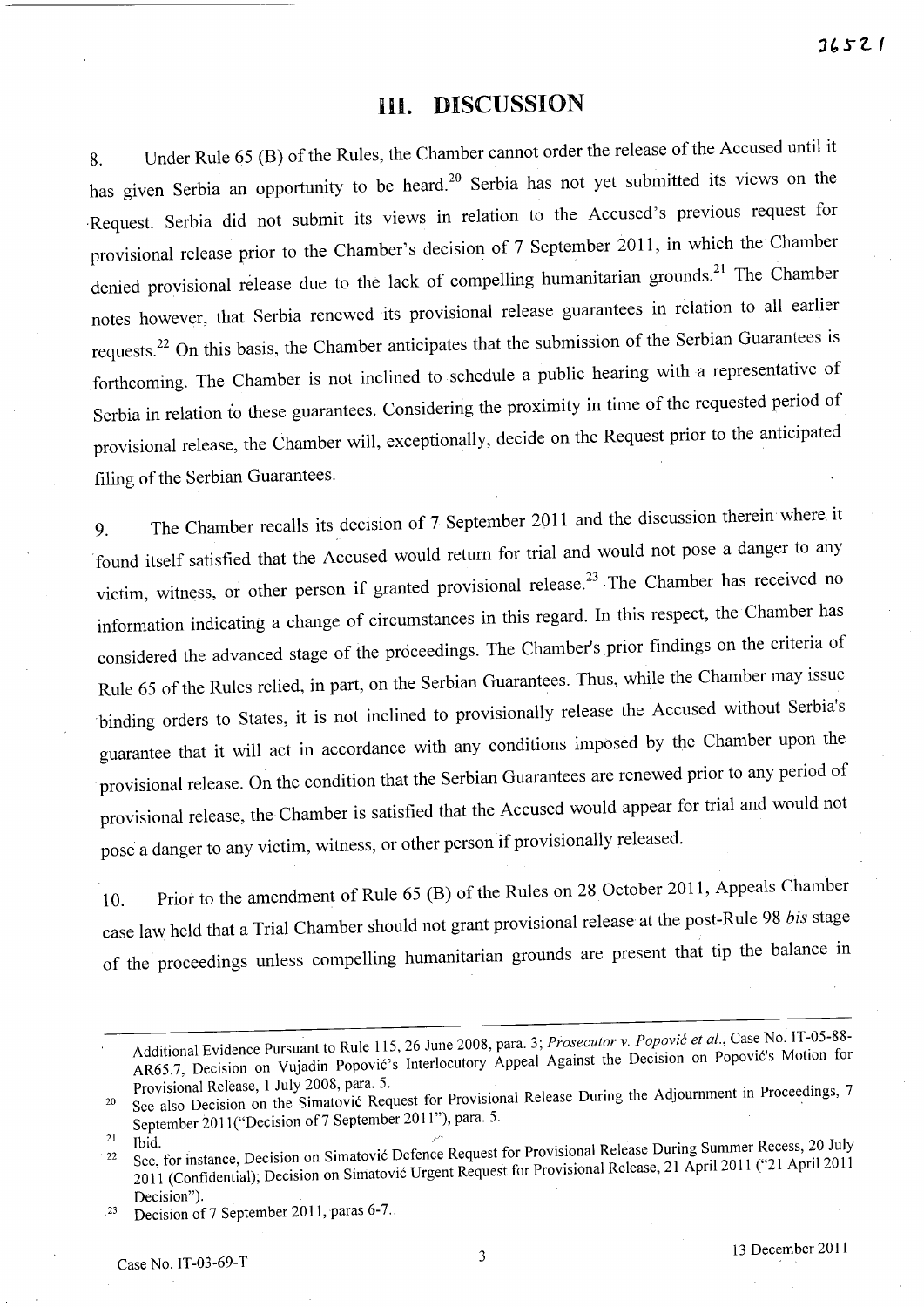### **Ill. DISCUSSION**

8. Under Rule 65 (B) of the Rules, the Chamber cannot order the release of the Accused until it has given Serbia an opportunity to be heard.<sup>20</sup> Serbia has not yet submitted its views on the ·Request. Serbia did not submit its views in relation to the Accused's previous request for provisional release prior to the Chamber's decision of 7 September 2011, in which the Chamber denied provisional release due to the lack of compelling humanitarian grounds.<sup>21</sup> The Chamber notes however, that Serbia renewed its provisional release guarantees in relation to all earlier requests.<sup>22</sup> On this basis, the Chamber anticipates that the submission of the Serbian Guarantees is .forthcoming. The Chamber is not inclined to schedule a public hearing with a representative of Serbia in relation to these guarantees. Considering the proximity in time of the requested period of provisional release, the Chamber will, exceptionally, decide on the Request prior to the anticipated filing of the Serbian Guarantees.

9. The Chamber recalls its decision of 7 September 2011 and the discussion therein where it found itself satisfied that the Accused would return for trial and would not pose a danger to any victim, witness, or other person if granted provisional release.<sup>23</sup> The Chamber has received no information indicating a change of circumstances in this regard. In this respect, the Chamber has considered the advanced stage of the proceedings. The Chamber's prior findings on the criteria of Rule 65 of the Rules relied, in part, on the Serbian Guarantees. Thus, while the Chamber may issue binding orders to States, it is not inclined to provisionally release the Accused without Serbia's guarantee that it will act in accordance with any conditions imposed by the Chamber upon the provisional release. On the condition that the Serbian Guarantees are renewed prior to any period of provisional release, the Chamber is satisfied that the Accused would appear for trial and would not pose a danger to any victim, witness, or other person if provisionally released.

10. Prior to the amendment of Rule 65 (B) of the Rules on 28 October 2011, Appeals Chamber case law held that a Trial Chamber should not grant provisional release at the post-Rule 98 *his* stage of the proceedings unless compelling humanitarian grounds are present that tip the balance in

Additional Evidence Pursuant to Rule 115, 26 June 2008, para. 3; *Prosecutor v. Popović et al.*, Case No. IT-05-88-AR65.7, Decision on Vujadin Popovic's Interlocutory Appeal Against the Decision on Popovic's Motion for Provisional Release, 1 July 2008, para. 5.

<sup>&</sup>lt;sup>20</sup> See also Decision on the Simatović Request for Provisional Release During the Adjournment in Proceedings, 7 September 2011("Decision of 7 September 2011"), para. 5.

<sup>&</sup>lt;sup>21</sup> Ibid.<br><sup>22</sup> See, for instance, Decision on Simatovic Defence Request for Provisional Release During Summer Recess, 20 July 2011 (Confidential); Decision on Simatović Urgent Request for Provisional Release, 21 April 2011 ("21 April 2011 Decision").

<sup>. &</sup>lt;sup>23</sup> Decision of 7 September 2011, paras 6-7.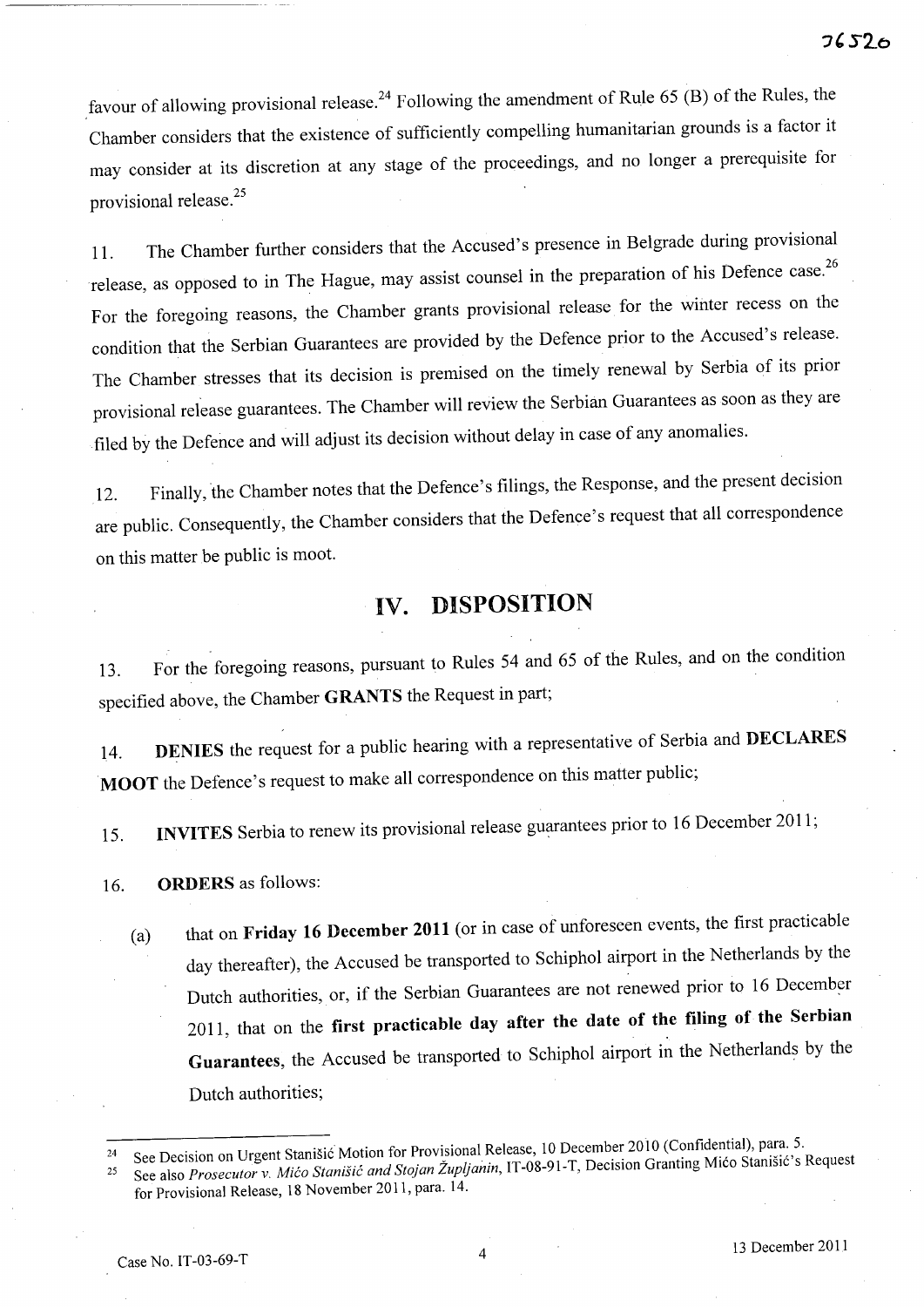favour of allowing provisional release.<sup>24</sup> Following the amendment of Rule 65 (B) of the Rules, the Chamber considers that the existence of sufficiently compelling humanitarian grounds is a factor it may consider at its discretion at any stage of the proceedings, and no longer a prerequisite for provisional release.<sup>25</sup>

11. The Chamber further considers that the Accused's presence in Belgrade during provisional release, as opposed to in The Hague, may assist counsel in the preparation of his Defence case.<sup>26</sup> For the foregoing reasons, the Chamber grants provisional release for the winter recess on the condition that the Serbian Guarantees are provided by the Defence prior to the Accused's release. The Chamber stresses that its decision is premised on the timely renewal by Serbia of its prior provisional release guarantees. The Chamber will review the Serbian Guarantees as soon as they are ·filed by the Defence and will adjust its decision without delay in case of any anomalies.

12. Finally, the Chamber notes that the Defence's filings, the Response, and the present decision are public. Consequently, the Chamber considers that the Defence's request that all correspondence on this matter be public is moot.

# IV. DISPOSITION

13. For the foregoing reasons, pursuant to Rules 54 and 65 of the Rules, and on the condition specified above, the Chamber GRANTS the Request in part;

14. **DENIES** the request for a public hearing with a representative of Serbia and DECLARES MOOT the Defence's request to make all correspondence on this matter public;

15. INVITES Serbia to renew its provisional release guarantees prior to 16 December 2011;

16. ORDERS as follows:

(a) that on Friday 16 December 2011 (or in case of unforeseen events, the first practicable day thereafter), the Accused be transported to Schiphol airport in the Netherlands by the Dutch authorities, or, if the Serbian Guarantees are not renewed prior to 16 December 2011, that on the first practicable day after the date of the filing of the Serbian Guarantees, the Accused be transported to Schiphol airport in the Netherlands by the Dutch authorities;

<sup>&</sup>lt;sup>24</sup> See Decision on Urgent Stanišić Motion for Provisional Release, 10 December 2010 (Confidential), para. 5.

<sup>&</sup>lt;sup>25</sup> See also *Prosecutor v. Mićo Stanišić and Stojan Župljanin*, IT-08-91-T, Decision Granting Mićo Stanišić's Request for Provisional Release, 18 November 2011, para. 14.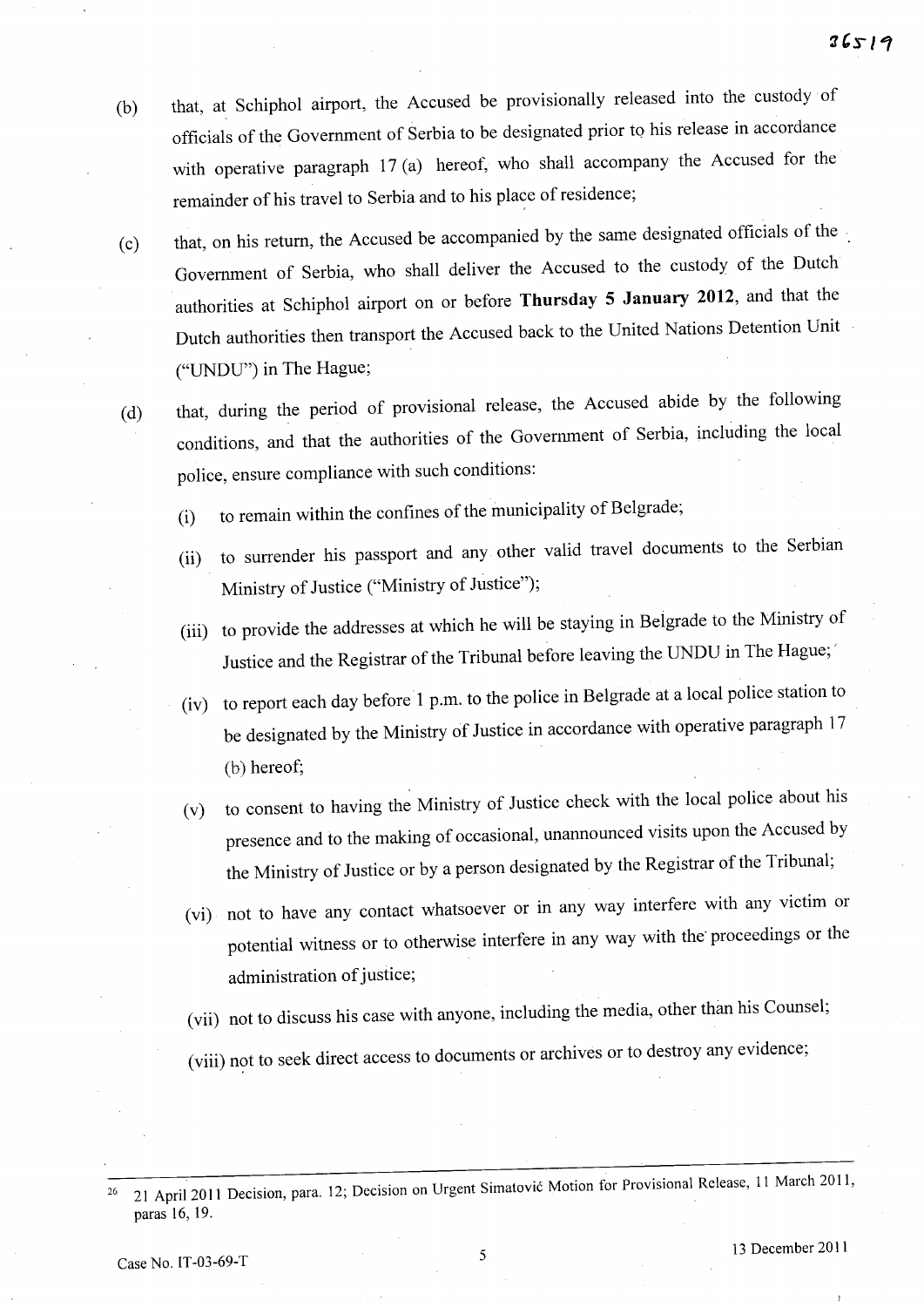- (b) that, at Schiphol airport, the Accused be provisionally released into the custody of officials of the Government of Serbia to be designated prior to his release in accordance with operative paragraph 17(a) hereof, who shall accompany the Accused for the remainder of his travel to Serbia and to his place of residence;
- (c) that, on his return, the Accused be accompanied by the same designated officials of the Government of Serbia, who shall deliver the Accused to the custody of the Dutch authorities at Schiphol airport on or before **Thursday 5 January 2012,** and that the Dutch authorities then transport the Accused back to the United Nations Detention Unit ("UNDU") in The Hague;
- (d) that, during the period of provisional release, the Accused abide by the following conditions, and that the authorities of the Government of Serbia, including the local police, ensure compliance with such conditions:
	- (i) to remain within the confines of the municipality of Belgrade;
	- (ii) to surrender his passport and any other valid travel documents to the Serbian Ministry of Justice ("Ministry of Justice");
	- (iii) to provide the addresses at which he will be staying in Belgrade to the Ministry of Justice and the Registrar of the Tribunal before leaving the UNDU in The Hague;'
	- (iv) to report each day before 1 p.m. to the police in Belgrade at a local police station to be designated by the Ministry of Justice in accordance with operative paragraph 17 (b) hereof;
	- (v) to consent to having the Ministry of Justice check with the local police about his presence and to the making of occasional, unannounced visits upon the Accused by the Ministry of Justice or by a person designated by the Registrar of the Tribunal;
	- (vi) not to have any contact whatsoever or in any way interfere with any victim or potential witness or to otherwise interfere in any way with the' proceedings or the administration of justice;
	- (vii) not to discuss his case with anyone, including the media, other than his Counsel;
	- (viii) not to seek direct access to documents or archives or to destroy any evidence;

Case No. IT-03-69-T 5 13 December 2011

<sup>&</sup>lt;sup>26</sup> 21 April 2011 Decision, para. 12; Decision on Urgent Simatović Motion for Provisional Release, 11 March 2011, paras 16, 19.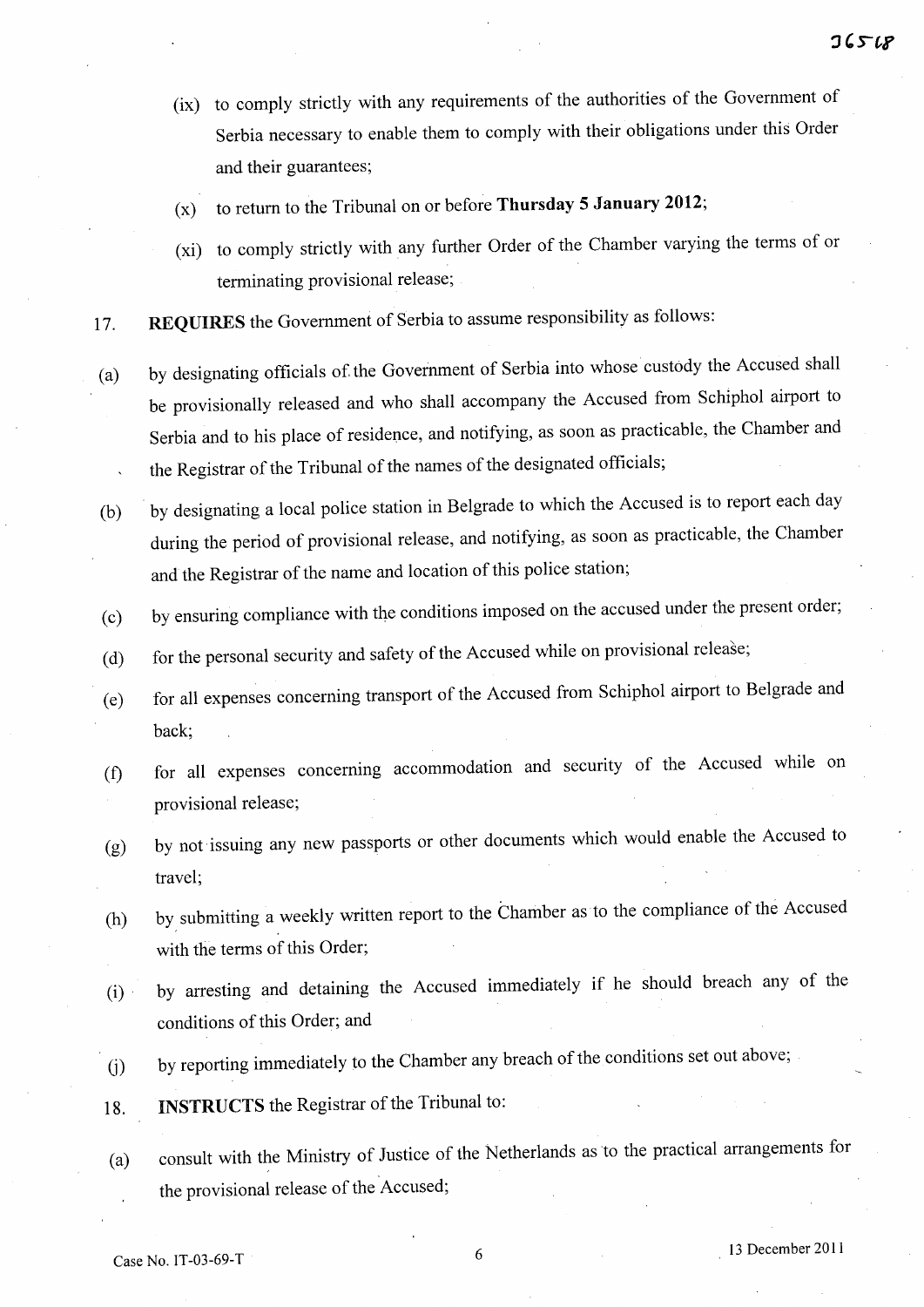- (ix) to comply strictly with any requirements of the authorities of the Government of Serbia necessary to enable them to comply with their obligations under this Order and their guarantees;
- (x) to return to the Tribunal on or before **Thursday 5 January 2012;**
- (xi) to comply strictly with any further Order of the Chamber varying the terms of or terminating provisional release;
- 17. **REQUIRES** the Government of Serbia to assume responsibility as follows:
- (a) by designating officials of. the Government of Serbia into whose custody the Accused shall be provisionally released and who shall accompany the Accused from Schiphol airport to Serbia and to his place of residence, and notifying, as soon as practicable, the Chamber and the Registrar of the Tribunal of the names of the designated officials;
- (b) by designating a local police station in Belgrade to which the Accused is to report each day during the period of provisional release, and notifying, as soon as practicable, the Chamber and the Registrar of the name and location of this police station;
- (c) by ensuring compliance with the conditions imposed on the accused under the present order;
- (d) for the personal security and safety of the Accused while on provisional release;
- (e) for all expenses concerning transport of the Accused from Schiphol airport to Belgrade and back;
- (t) for all expenses concernmg accommodation and security of the Accused while on provisional release;
- (g) by not' issuing any new passports or other documents which would enable the Accused to travel;
- (h) by, submitting a weekly written report to the Chamber as to the compliance of the Accused with the terms of this Order;
- (i)· by arresting and detaining the Accused immediately if he should breach any of the conditions of this Order; and
- G) by reporting immediately to the Chamber any breach of the conditions set out above;
- 18. **INSTRUCTS** the Registrar of the Tribunal to:
- (a) consult with the Ministry of Justice of the Netherlands as to the practical arrangements for the provisional release of the Accused;